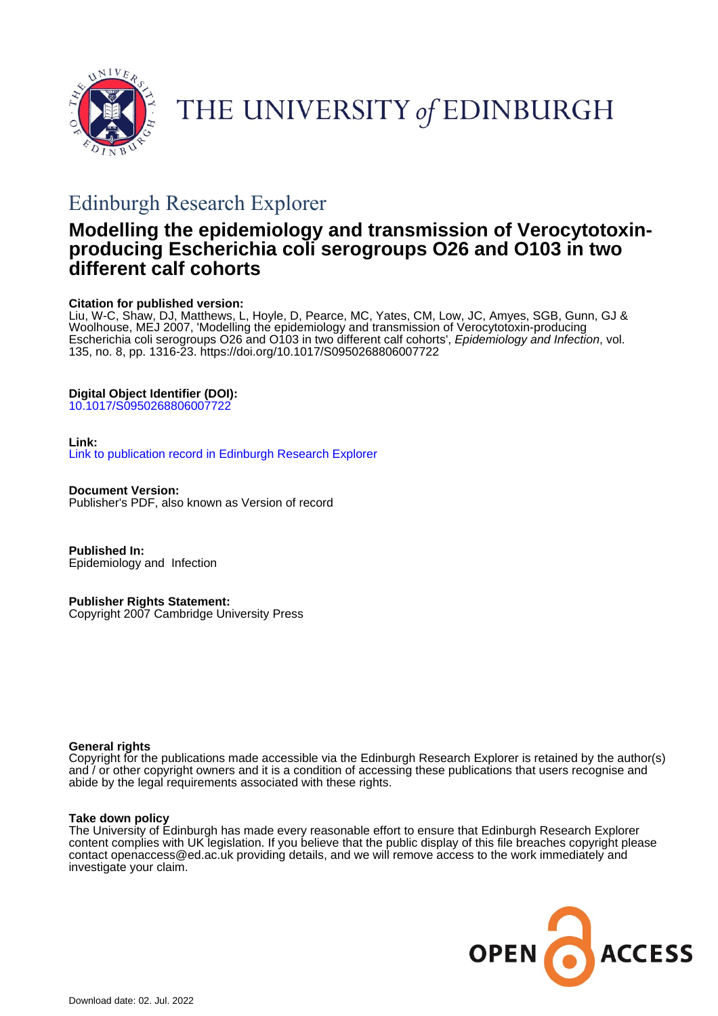

THE UNIVERSITY of EDINBURGH

# Edinburgh Research Explorer

## **Modelling the epidemiology and transmission of Verocytotoxinproducing Escherichia coli serogroups O26 and O103 in two different calf cohorts**

## **Citation for published version:**

Liu, W-C, Shaw, DJ, Matthews, L, Hoyle, D, Pearce, MC, Yates, CM, Low, JC, Amyes, SGB, Gunn, GJ & Woolhouse, MEJ 2007, 'Modelling the epidemiology and transmission of Verocytotoxin-producing Escherichia coli serogroups O26 and O103 in two different calf cohorts', *Epidemiology and Infection*, vol. 135, no. 8, pp. 1316-23. <https://doi.org/10.1017/S0950268806007722>

## **Digital Object Identifier (DOI):**

[10.1017/S0950268806007722](https://doi.org/10.1017/S0950268806007722)

## **Link:**

[Link to publication record in Edinburgh Research Explorer](https://www.research.ed.ac.uk/en/publications/dcbc4ac3-593b-43ee-9281-081402bf0312)

**Document Version:** Publisher's PDF, also known as Version of record

**Published In:** Epidemiology and Infection

**Publisher Rights Statement:** Copyright 2007 Cambridge University Press

## **General rights**

Copyright for the publications made accessible via the Edinburgh Research Explorer is retained by the author(s) and / or other copyright owners and it is a condition of accessing these publications that users recognise and abide by the legal requirements associated with these rights.

## **Take down policy**

The University of Edinburgh has made every reasonable effort to ensure that Edinburgh Research Explorer content complies with UK legislation. If you believe that the public display of this file breaches copyright please contact openaccess@ed.ac.uk providing details, and we will remove access to the work immediately and investigate your claim.

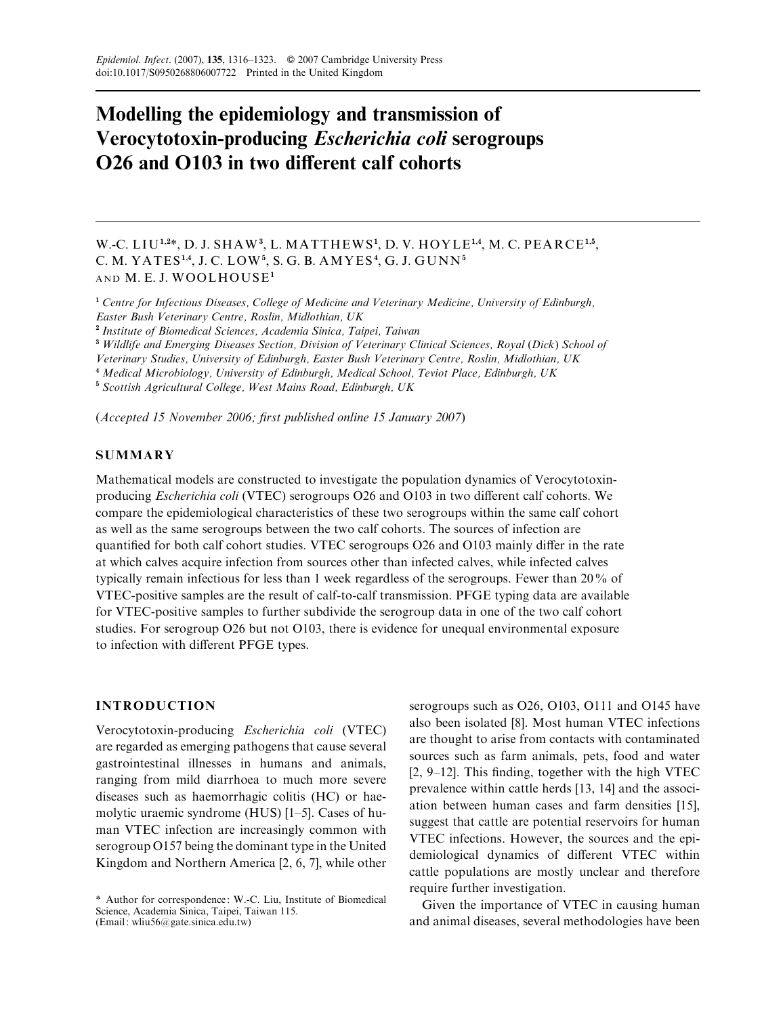## Modelling the epidemiology and transmission of Verocytotoxin-producing Escherichia coli serogroups O26 and O103 in two different calf cohorts

W.-C. LIU<sup>1,2\*</sup>, D. J. SHAW<sup>3</sup>, L. MATTHEWS<sup>1</sup>, D. V. HOYLE<sup>1,4</sup>, M. C. PEARCE<sup>1,5</sup>, C. M. YATES<sup>1,4</sup>, J. C. LOW<sup>5</sup>, S. G. B. AMYES<sup>4</sup>, G. J. GUNN<sup>5</sup> AND M. E. J. WOOLHOUSE<sup>1</sup>

<sup>1</sup> Centre for Infectious Diseases, College of Medicine and Veterinary Medicine, University of Edinburgh, Easter Bush Veterinary Centre, Roslin, Midlothian, UK

<sup>2</sup> Institute of Biomedical Sciences, Academia Sinica, Taipei, Taiwan

<sup>3</sup> Wildlife and Emerging Diseases Section, Division of Veterinary Clinical Sciences, Royal (Dick) School of

Veterinary Studies, University of Edinburgh, Easter Bush Veterinary Centre, Roslin, Midlothian, UK

<sup>4</sup> Medical Microbiology, University of Edinburgh, Medical School, Teviot Place, Edinburgh, UK

<sup>5</sup> Scottish Agricultural College, West Mains Road, Edinburgh, UK

(Accepted 15 November 2006; first published online 15 January 2007)

## **SUMMARY**

Mathematical models are constructed to investigate the population dynamics of Verocytotoxinproducing Escherichia coli (VTEC) serogroups O26 and O103 in two different calf cohorts. We compare the epidemiological characteristics of these two serogroups within the same calf cohort as well as the same serogroups between the two calf cohorts. The sources of infection are quantified for both calf cohort studies. VTEC serogroups O26 and O103 mainly differ in the rate at which calves acquire infection from sources other than infected calves, while infected calves typically remain infectious for less than 1 week regardless of the serogroups. Fewer than 20% of VTEC-positive samples are the result of calf-to-calf transmission. PFGE typing data are available for VTEC-positive samples to further subdivide the serogroup data in one of the two calf cohort studies. For serogroup O26 but not O103, there is evidence for unequal environmental exposure to infection with different PFGE types.

## INTRODUCTION

Verocytotoxin-producing Escherichia coli (VTEC) are regarded as emerging pathogens that cause several gastrointestinal illnesses in humans and animals, ranging from mild diarrhoea to much more severe diseases such as haemorrhagic colitis (HC) or haemolytic uraemic syndrome (HUS) [1–5]. Cases of human VTEC infection are increasingly common with serogroup O157 being the dominant type in the United Kingdom and Northern America [2, 6, 7], while other

serogroups such as O26, O103, O111 and O145 have also been isolated [8]. Most human VTEC infections are thought to arise from contacts with contaminated sources such as farm animals, pets, food and water [2, 9–12]. This finding, together with the high VTEC prevalence within cattle herds [13, 14] and the association between human cases and farm densities [15], suggest that cattle are potential reservoirs for human VTEC infections. However, the sources and the epidemiological dynamics of different VTEC within cattle populations are mostly unclear and therefore require further investigation.

Given the importance of VTEC in causing human and animal diseases, several methodologies have been

<sup>\*</sup> Author for correspondence: W.-C. Liu, Institute of Biomedical Science, Academia Sinica, Taipei, Taiwan 115. (Email: wliu56@gate.sinica.edu.tw)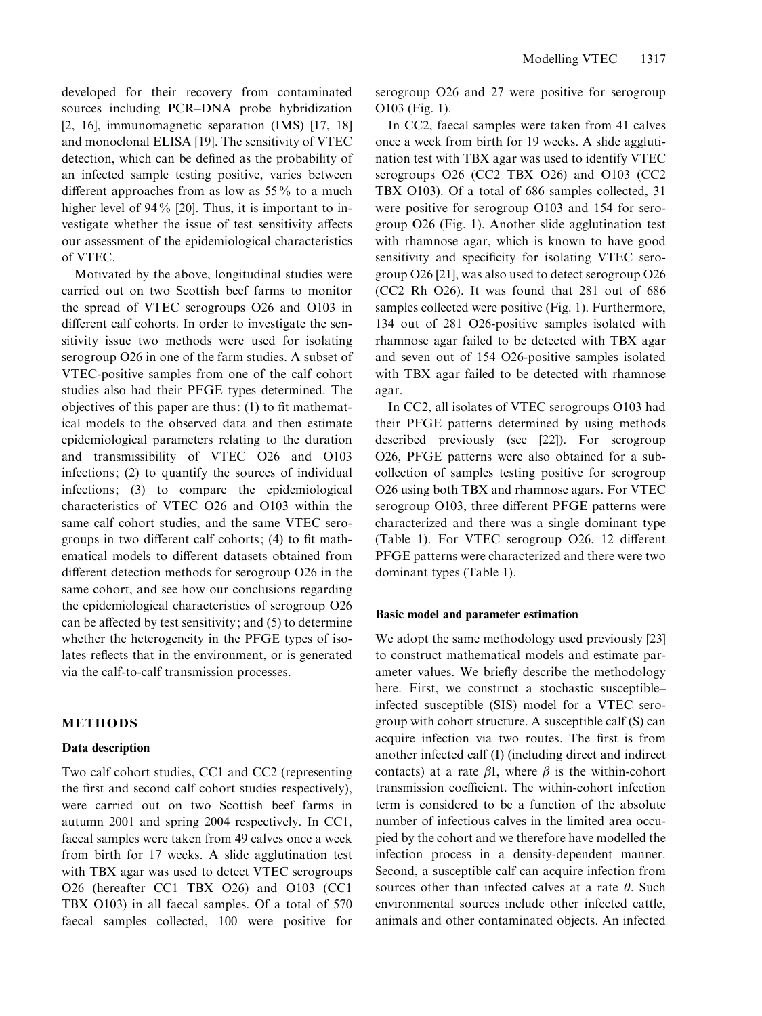developed for their recovery from contaminated sources including PCR–DNA probe hybridization [2, 16], immunomagnetic separation (IMS) [17, 18] and monoclonal ELISA [19]. The sensitivity of VTEC detection, which can be defined as the probability of an infected sample testing positive, varies between different approaches from as low as 55% to a much higher level of 94% [20]. Thus, it is important to investigate whether the issue of test sensitivity affects our assessment of the epidemiological characteristics of VTEC.

Motivated by the above, longitudinal studies were carried out on two Scottish beef farms to monitor the spread of VTEC serogroups O26 and O103 in different calf cohorts. In order to investigate the sensitivity issue two methods were used for isolating serogroup O26 in one of the farm studies. A subset of VTEC-positive samples from one of the calf cohort studies also had their PFGE types determined. The objectives of this paper are thus: (1) to fit mathematical models to the observed data and then estimate epidemiological parameters relating to the duration and transmissibility of VTEC O26 and O103 infections; (2) to quantify the sources of individual infections; (3) to compare the epidemiological characteristics of VTEC O26 and O103 within the same calf cohort studies, and the same VTEC serogroups in two different calf cohorts; (4) to fit mathematical models to different datasets obtained from different detection methods for serogroup O26 in the same cohort, and see how our conclusions regarding the epidemiological characteristics of serogroup O26 can be affected by test sensitivity; and (5) to determine whether the heterogeneity in the PFGE types of isolates reflects that in the environment, or is generated via the calf-to-calf transmission processes.

### METHODS

#### Data description

Two calf cohort studies, CC1 and CC2 (representing the first and second calf cohort studies respectively), were carried out on two Scottish beef farms in autumn 2001 and spring 2004 respectively. In CC1, faecal samples were taken from 49 calves once a week from birth for 17 weeks. A slide agglutination test with TBX agar was used to detect VTEC serogroups O26 (hereafter CC1 TBX O26) and O103 (CC1 TBX O103) in all faecal samples. Of a total of 570 faecal samples collected, 100 were positive for serogroup O26 and 27 were positive for serogroup O103 (Fig. 1).

In CC2, faecal samples were taken from 41 calves once a week from birth for 19 weeks. A slide agglutination test with TBX agar was used to identify VTEC serogroups O26 (CC2 TBX O26) and O103 (CC2 TBX O103). Of a total of 686 samples collected, 31 were positive for serogroup O103 and 154 for serogroup O26 (Fig. 1). Another slide agglutination test with rhamnose agar, which is known to have good sensitivity and specificity for isolating VTEC serogroup O26 [21], was also used to detect serogroup O26 (CC2 Rh O26). It was found that 281 out of 686 samples collected were positive (Fig. 1). Furthermore, 134 out of 281 O26-positive samples isolated with rhamnose agar failed to be detected with TBX agar and seven out of 154 O26-positive samples isolated with TBX agar failed to be detected with rhamnose agar.

In CC2, all isolates of VTEC serogroups O103 had their PFGE patterns determined by using methods described previously (see [22]). For serogroup O26, PFGE patterns were also obtained for a subcollection of samples testing positive for serogroup O26 using both TBX and rhamnose agars. For VTEC serogroup O103, three different PFGE patterns were characterized and there was a single dominant type (Table 1). For VTEC serogroup O26, 12 different PFGE patterns were characterized and there were two dominant types (Table 1).

#### Basic model and parameter estimation

We adopt the same methodology used previously [23] to construct mathematical models and estimate parameter values. We briefly describe the methodology here. First, we construct a stochastic susceptible– infected–susceptible (SIS) model for a VTEC serogroup with cohort structure. A susceptible calf (S) can acquire infection via two routes. The first is from another infected calf (I) (including direct and indirect contacts) at a rate  $\beta I$ , where  $\beta$  is the within-cohort transmission coefficient. The within-cohort infection term is considered to be a function of the absolute number of infectious calves in the limited area occupied by the cohort and we therefore have modelled the infection process in a density-dependent manner. Second, a susceptible calf can acquire infection from sources other than infected calves at a rate  $\theta$ . Such environmental sources include other infected cattle, animals and other contaminated objects. An infected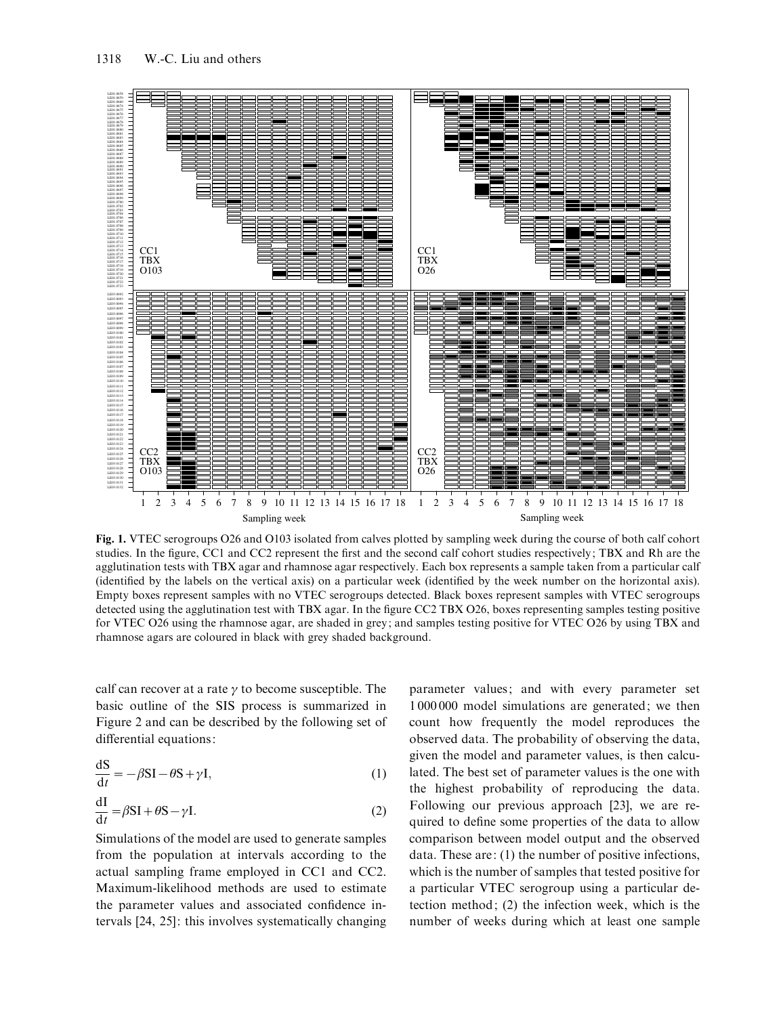

Fig. 1. VTEC serogroups O26 and O103 isolated from calves plotted by sampling week during the course of both calf cohort studies. In the figure, CC1 and CC2 represent the first and the second calf cohort studies respectively; TBX and Rh are the agglutination tests with TBX agar and rhamnose agar respectively. Each box represents a sample taken from a particular calf (identified by the labels on the vertical axis) on a particular week (identified by the week number on the horizontal axis). Empty boxes represent samples with no VTEC serogroups detected. Black boxes represent samples with VTEC serogroups detected using the agglutination test with TBX agar. In the figure CC2 TBX O26, boxes representing samples testing positive for VTEC O26 using the rhamnose agar, are shaded in grey; and samples testing positive for VTEC O26 by using TBX and rhamnose agars are coloured in black with grey shaded background.

calf can recover at a rate  $\gamma$  to become susceptible. The basic outline of the SIS process is summarized in Figure 2 and can be described by the following set of differential equations:

$$
\frac{dS}{dt} = -\beta SI - \theta S + \gamma I,\tag{1}
$$

$$
\frac{dI}{dt} = \beta SI + \theta S - \gamma I.
$$
 (2)

Simulations of the model are used to generate samples from the population at intervals according to the actual sampling frame employed in CC1 and CC2. Maximum-likelihood methods are used to estimate the parameter values and associated confidence intervals [24, 25]: this involves systematically changing parameter values; and with every parameter set 1 000 000 model simulations are generated; we then count how frequently the model reproduces the observed data. The probability of observing the data, given the model and parameter values, is then calculated. The best set of parameter values is the one with the highest probability of reproducing the data. Following our previous approach [23], we are required to define some properties of the data to allow comparison between model output and the observed data. These are: (1) the number of positive infections, which is the number of samples that tested positive for a particular VTEC serogroup using a particular detection method; (2) the infection week, which is the number of weeks during which at least one sample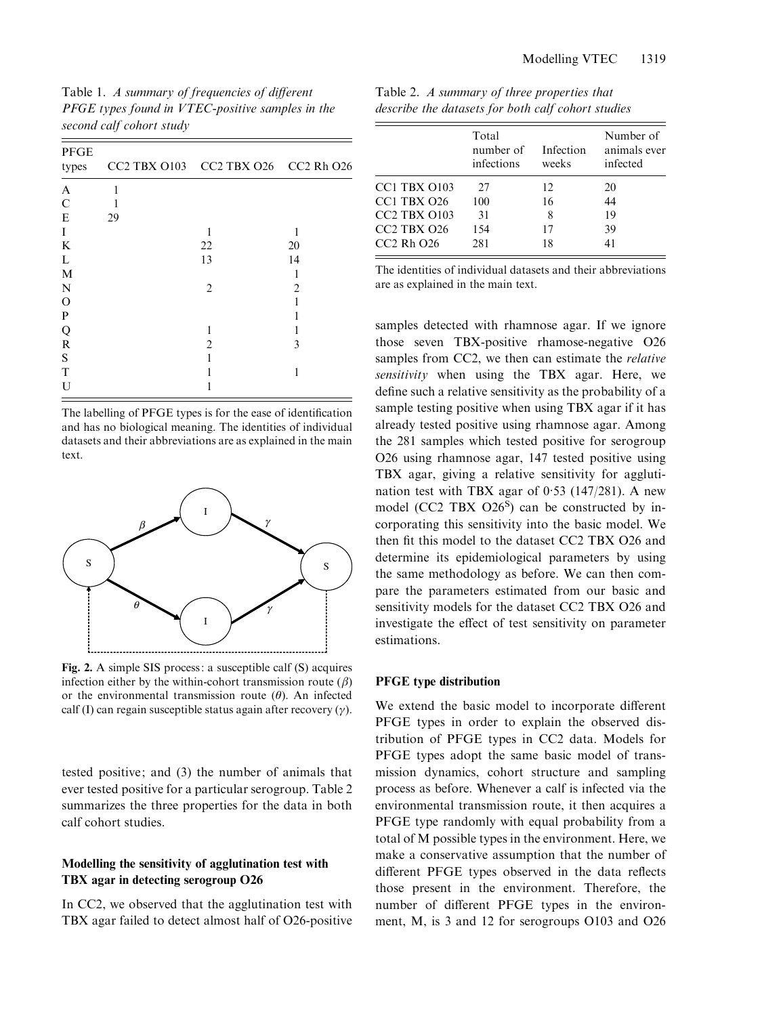|                          | Table 1. A summary of frequencies of different   |
|--------------------------|--------------------------------------------------|
|                          | PFGE types found in VTEC-positive samples in the |
| second calf cohort study |                                                  |

| <b>PFGE</b><br>types |    | CC2 TBX O103 CC2 TBX O26 CC2 Rh O26 |                |
|----------------------|----|-------------------------------------|----------------|
| A                    | 1  |                                     |                |
| $\mathbf C$          |    |                                     |                |
| E                    | 29 |                                     |                |
| I                    |    |                                     |                |
| K                    |    | 22                                  | 20             |
| L                    |    | 13                                  | 14             |
| M                    |    |                                     |                |
| $\mathbf N$          |    | $\overline{2}$                      | $\overline{2}$ |
| $\Omega$             |    |                                     |                |
| P                    |    |                                     |                |
| Q                    |    |                                     |                |
| $\mathbf R$          |    | $\overline{c}$                      | 3              |
| S                    |    |                                     |                |
| T                    |    |                                     | 1              |
| U                    |    |                                     |                |

The labelling of PFGE types is for the ease of identification and has no biological meaning. The identities of individual datasets and their abbreviations are as explained in the main text.



Fig. 2. A simple SIS process: a susceptible calf (S) acquires infection either by the within-cohort transmission route  $(\beta)$ or the environmental transmission route  $(\theta)$ . An infected calf (I) can regain susceptible status again after recovery  $(\gamma)$ .

tested positive; and (3) the number of animals that ever tested positive for a particular serogroup. Table 2 summarizes the three properties for the data in both calf cohort studies.

## Modelling the sensitivity of agglutination test with TBX agar in detecting serogroup O26

In CC2, we observed that the agglutination test with TBX agar failed to detect almost half of O26-positive

| Table 2. A summary of three properties that        |  |
|----------------------------------------------------|--|
| describe the datasets for both calf cohort studies |  |

|                     | Total<br>number of Infection<br>infections | weeks | Number of<br>animals ever<br>infected |
|---------------------|--------------------------------------------|-------|---------------------------------------|
| <b>CC1 TBX 0103</b> | 27                                         | 12    | 20                                    |
| $CC1$ TBX $O26$     | 100                                        | 16    | 44                                    |
| <b>CC2 TBX 0103</b> | 31                                         | 8     | 19                                    |
| $CC2$ TBX $O26$     | 154                                        | 17    | 39                                    |
| $CC2$ Rh $O26$      | 281                                        | 18    | 41                                    |

The identities of individual datasets and their abbreviations are as explained in the main text.

samples detected with rhamnose agar. If we ignore those seven TBX-positive rhamose-negative O26 samples from CC2, we then can estimate the *relative* sensitivity when using the TBX agar. Here, we define such a relative sensitivity as the probability of a sample testing positive when using TBX agar if it has already tested positive using rhamnose agar. Among the 281 samples which tested positive for serogroup O26 using rhamnose agar, 147 tested positive using TBX agar, giving a relative sensitivity for agglutination test with TBX agar of 0. 53 (147/281). A new model (CC2 TBX O26<sup>S</sup>) can be constructed by incorporating this sensitivity into the basic model. We then fit this model to the dataset CC2 TBX O26 and determine its epidemiological parameters by using the same methodology as before. We can then compare the parameters estimated from our basic and sensitivity models for the dataset CC2 TBX O26 and investigate the effect of test sensitivity on parameter estimations.

### PFGE type distribution

We extend the basic model to incorporate different PFGE types in order to explain the observed distribution of PFGE types in CC2 data. Models for PFGE types adopt the same basic model of transmission dynamics, cohort structure and sampling process as before. Whenever a calf is infected via the environmental transmission route, it then acquires a PFGE type randomly with equal probability from a total of M possible types in the environment. Here, we make a conservative assumption that the number of different PFGE types observed in the data reflects those present in the environment. Therefore, the number of different PFGE types in the environment, M, is 3 and 12 for serogroups O103 and O26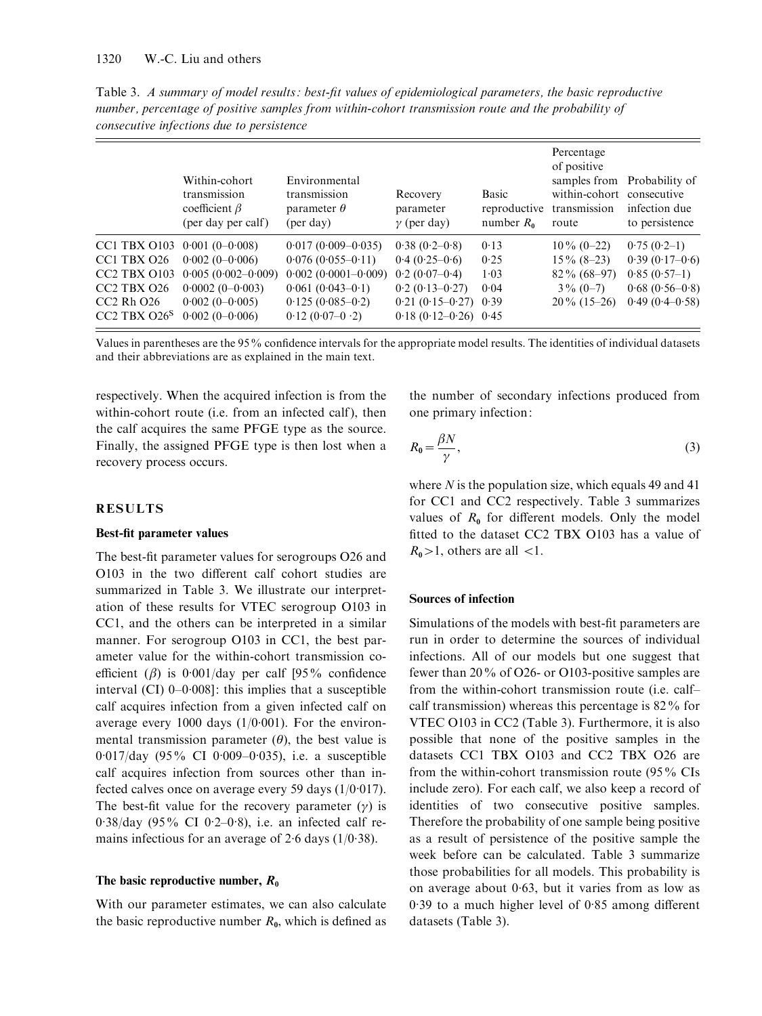Table 3. A summary of model results : best-fit values of epidemiological parameters, the basic reproductive number, percentage of positive samples from within-cohort transmission route and the probability of consecutive infections due to persistence

|                                                                                                                                                            | Within-cohort<br>transmission<br>coefficient $\beta$<br>(per day per calf)                                                | Environmental<br>transmission<br>parameter $\theta$<br>(per day)                                                                       | Recovery<br>parameter<br>$\gamma$ (per day)                                                                                   | Basic<br>reproductive<br>number $R_0$ | Percentage<br>of positive<br>within-cohort consecutive<br>transmission<br>route   | samples from Probability of<br>infection due<br>to persistence                              |
|------------------------------------------------------------------------------------------------------------------------------------------------------------|---------------------------------------------------------------------------------------------------------------------------|----------------------------------------------------------------------------------------------------------------------------------------|-------------------------------------------------------------------------------------------------------------------------------|---------------------------------------|-----------------------------------------------------------------------------------|---------------------------------------------------------------------------------------------|
| CC1 TBX O103<br>CC1 TBX O26<br>CC <sub>2</sub> TBX O <sub>103</sub><br>CC <sub>2</sub> TBX O <sub>26</sub><br>$CC2$ Rh $O26$<br>CC <sub>2</sub> TBX $O26S$ | $0.001(0-0.008)$<br>$0.002(0-0.006)$<br>$0.005(0.002-0.009)$<br>$0.0002(0-0.003)$<br>$0.002(0-0.005)$<br>$0.002(0-0.006)$ | $0.017(0.009 - 0.035)$<br>$0.076(0.055-0.11)$<br>$0.002(0.0001-0.009)$<br>$0.061(0.043-0.1)$<br>$0.125(0.085-0.2)$<br>$0.12(0.07-0.2)$ | $0.38(0.2-0.8)$<br>$0.4(0.25-0.6)$<br>$0.2(0.07-0.4)$<br>$0.2(0.13-0.27)$<br>$0.21(0.15-0.27)$ 0.39<br>$0.18(0.12-0.26)$ 0.45 | 0.13<br>0.25<br>1.03<br>0.04          | $10\% (0-22)$<br>$15\%$ (8-23)<br>$82\% (68-97)$<br>$3\% (0-7)$<br>$20\%$ (15–26) | $0.75(0.2-1)$<br>$0.39(0.17-0.6)$<br>$0.85(0.57-1)$<br>$0.68(0.56-0.8)$<br>$0.49(0.4-0.58)$ |

Values in parentheses are the 95% confidence intervals for the appropriate model results. The identities of individual datasets and their abbreviations are as explained in the main text.

respectively. When the acquired infection is from the within-cohort route (*i.e.* from an infected calf), then the calf acquires the same PFGE type as the source. Finally, the assigned PFGE type is then lost when a recovery process occurs.

#### RESULTS

#### Best-fit parameter values

The best-fit parameter values for serogroups O26 and O103 in the two different calf cohort studies are summarized in Table 3. We illustrate our interpretation of these results for VTEC serogroup O103 in CC1, and the others can be interpreted in a similar manner. For serogroup O103 in CC1, the best parameter value for the within-cohort transmission coefficient ( $\beta$ ) is 0.001/day per calf [95% confidence interval (CI) 0–0. 008]: this implies that a susceptible calf acquires infection from a given infected calf on average every 1000 days  $(1/0.001)$ . For the environmental transmission parameter  $(\theta)$ , the best value is 0.017/day (95% CI 0.009-0.035), i.e. a susceptible calf acquires infection from sources other than infected calves once on average every 59 days (1/0. 017). The best-fit value for the recovery parameter  $(y)$  is 0. 38/day (95% CI 0. 2–0. 8), i.e. an infected calf remains infectious for an average of  $2.6$  days  $(1/0.38)$ .

#### The basic reproductive number,  $R_0$

With our parameter estimates, we can also calculate the basic reproductive number  $R_0$ , which is defined as the number of secondary infections produced from one primary infection:

$$
R_0 = \frac{\beta N}{\gamma},\tag{3}
$$

where  $N$  is the population size, which equals 49 and 41 for CC1 and CC2 respectively. Table 3 summarizes values of  $R_0$  for different models. Only the model fitted to the dataset CC2 TBX O103 has a value of  $R_0 > 1$ , others are all  $< 1$ .

#### Sources of infection

Simulations of the models with best-fit parameters are run in order to determine the sources of individual infections. All of our models but one suggest that fewer than 20% of O26- or O103-positive samples are from the within-cohort transmission route (i.e. calf– calf transmission) whereas this percentage is 82% for VTEC O103 in CC2 (Table 3). Furthermore, it is also possible that none of the positive samples in the datasets CC1 TBX O103 and CC2 TBX O26 are from the within-cohort transmission route (95% CIs include zero). For each calf, we also keep a record of identities of two consecutive positive samples. Therefore the probability of one sample being positive as a result of persistence of the positive sample the week before can be calculated. Table 3 summarize those probabilities for all models. This probability is on average about 0. 63, but it varies from as low as 0. 39 to a much higher level of 0. 85 among different datasets (Table 3).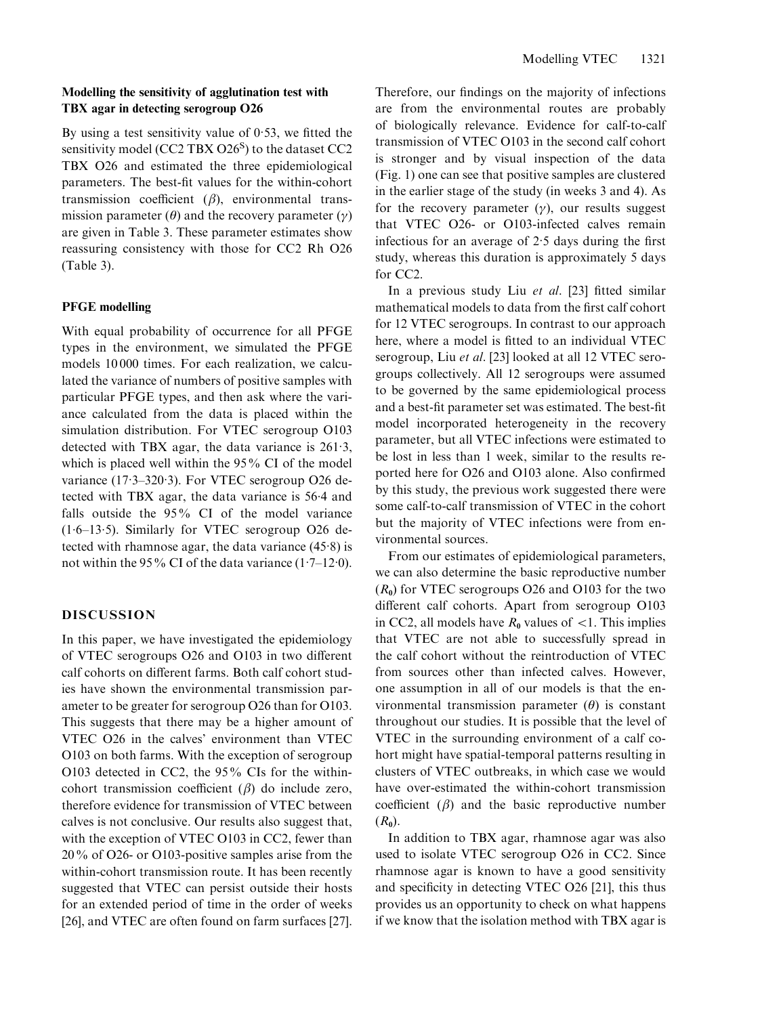## Modelling the sensitivity of agglutination test with TBX agar in detecting serogroup O26

By using a test sensitivity value of  $0.53$ , we fitted the sensitivity model (CC2 TBX O26<sup>S</sup>) to the dataset CC2 TBX O26 and estimated the three epidemiological parameters. The best-fit values for the within-cohort transmission coefficient  $(\beta)$ , environmental transmission parameter  $(\theta)$  and the recovery parameter  $(\gamma)$ are given in Table 3. These parameter estimates show reassuring consistency with those for CC2 Rh O26 (Table 3).

### PFGE modelling

With equal probability of occurrence for all PFGE types in the environment, we simulated the PFGE models 10 000 times. For each realization, we calculated the variance of numbers of positive samples with particular PFGE types, and then ask where the variance calculated from the data is placed within the simulation distribution. For VTEC serogroup O103 detected with TBX agar, the data variance is 261. 3, which is placed well within the 95% CI of the model variance (17.3-320.3). For VTEC serogroup O26 detected with TBX agar, the data variance is 56. 4 and falls outside the 95% CI of the model variance (1. 6–13. 5). Similarly for VTEC serogroup O26 detected with rhamnose agar, the data variance (45. 8) is not within the 95% CI of the data variance  $(1.7-12.0)$ .

### DISCUSSION

In this paper, we have investigated the epidemiology of VTEC serogroups O26 and O103 in two different calf cohorts on different farms. Both calf cohort studies have shown the environmental transmission parameter to be greater for serogroup O26 than for O103. This suggests that there may be a higher amount of VTEC O26 in the calves' environment than VTEC O103 on both farms. With the exception of serogroup O103 detected in CC2, the 95% CIs for the withincohort transmission coefficient  $(\beta)$  do include zero, therefore evidence for transmission of VTEC between calves is not conclusive. Our results also suggest that, with the exception of VTEC O103 in CC2, fewer than 20% of O26- or O103-positive samples arise from the within-cohort transmission route. It has been recently suggested that VTEC can persist outside their hosts for an extended period of time in the order of weeks [26], and VTEC are often found on farm surfaces [27]. Therefore, our findings on the majority of infections are from the environmental routes are probably of biologically relevance. Evidence for calf-to-calf transmission of VTEC O103 in the second calf cohort is stronger and by visual inspection of the data (Fig. 1) one can see that positive samples are clustered in the earlier stage of the study (in weeks 3 and 4). As for the recovery parameter  $(y)$ , our results suggest that VTEC O26- or O103-infected calves remain infectious for an average of 2. 5 days during the first study, whereas this duration is approximately 5 days for CC2.

In a previous study Liu et al. [23] fitted similar mathematical models to data from the first calf cohort for 12 VTEC serogroups. In contrast to our approach here, where a model is fitted to an individual VTEC serogroup, Liu et al. [23] looked at all 12 VTEC serogroups collectively. All 12 serogroups were assumed to be governed by the same epidemiological process and a best-fit parameter set was estimated. The best-fit model incorporated heterogeneity in the recovery parameter, but all VTEC infections were estimated to be lost in less than 1 week, similar to the results reported here for O26 and O103 alone. Also confirmed by this study, the previous work suggested there were some calf-to-calf transmission of VTEC in the cohort but the majority of VTEC infections were from environmental sources.

From our estimates of epidemiological parameters, we can also determine the basic reproductive number  $(R_0)$  for VTEC serogroups O26 and O103 for the two different calf cohorts. Apart from serogroup O103 in CC2, all models have  $R_0$  values of  $\lt 1$ . This implies that VTEC are not able to successfully spread in the calf cohort without the reintroduction of VTEC from sources other than infected calves. However, one assumption in all of our models is that the environmental transmission parameter  $(\theta)$  is constant throughout our studies. It is possible that the level of VTEC in the surrounding environment of a calf cohort might have spatial-temporal patterns resulting in clusters of VTEC outbreaks, in which case we would have over-estimated the within-cohort transmission coefficient  $(\beta)$  and the basic reproductive number  $(R_0)$ .

In addition to TBX agar, rhamnose agar was also used to isolate VTEC serogroup O26 in CC2. Since rhamnose agar is known to have a good sensitivity and specificity in detecting VTEC O26 [21], this thus provides us an opportunity to check on what happens if we know that the isolation method with TBX agar is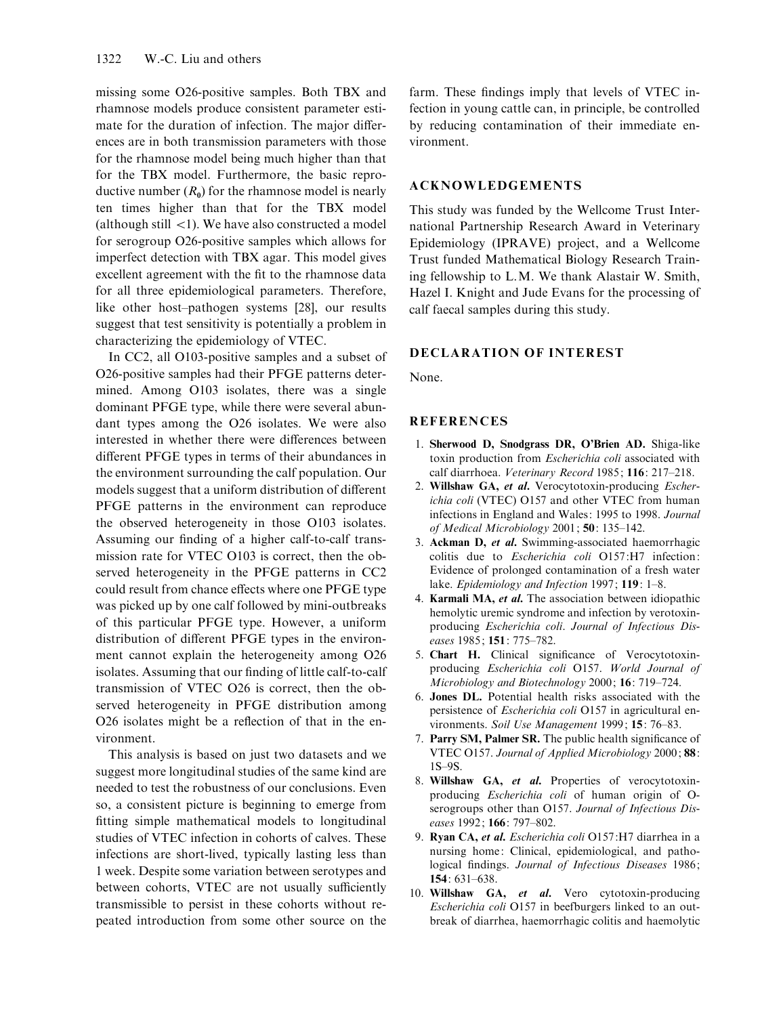missing some O26-positive samples. Both TBX and rhamnose models produce consistent parameter estimate for the duration of infection. The major differences are in both transmission parameters with those for the rhamnose model being much higher than that for the TBX model. Furthermore, the basic reproductive number  $(R_0)$  for the rhamnose model is nearly ten times higher than that for the TBX model (although still  $\langle 1 \rangle$ ). We have also constructed a model for serogroup O26-positive samples which allows for imperfect detection with TBX agar. This model gives excellent agreement with the fit to the rhamnose data for all three epidemiological parameters. Therefore, like other host–pathogen systems [28], our results suggest that test sensitivity is potentially a problem in characterizing the epidemiology of VTEC.

In CC2, all O103-positive samples and a subset of O26-positive samples had their PFGE patterns determined. Among O103 isolates, there was a single dominant PFGE type, while there were several abundant types among the O26 isolates. We were also interested in whether there were differences between different PFGE types in terms of their abundances in the environment surrounding the calf population. Our models suggest that a uniform distribution of different PFGE patterns in the environment can reproduce the observed heterogeneity in those O103 isolates. Assuming our finding of a higher calf-to-calf transmission rate for VTEC O103 is correct, then the observed heterogeneity in the PFGE patterns in CC2 could result from chance effects where one PFGE type was picked up by one calf followed by mini-outbreaks of this particular PFGE type. However, a uniform distribution of different PFGE types in the environment cannot explain the heterogeneity among O26 isolates. Assuming that our finding of little calf-to-calf transmission of VTEC O26 is correct, then the observed heterogeneity in PFGE distribution among O26 isolates might be a reflection of that in the environment.

This analysis is based on just two datasets and we suggest more longitudinal studies of the same kind are needed to test the robustness of our conclusions. Even so, a consistent picture is beginning to emerge from fitting simple mathematical models to longitudinal studies of VTEC infection in cohorts of calves. These infections are short-lived, typically lasting less than 1 week. Despite some variation between serotypes and between cohorts, VTEC are not usually sufficiently transmissible to persist in these cohorts without repeated introduction from some other source on the farm. These findings imply that levels of VTEC infection in young cattle can, in principle, be controlled by reducing contamination of their immediate environment.

## ACKNOWLEDGEMENTS

This study was funded by the Wellcome Trust International Partnership Research Award in Veterinary Epidemiology (IPRAVE) project, and a Wellcome Trust funded Mathematical Biology Research Training fellowship to L.M. We thank Alastair W. Smith, Hazel I. Knight and Jude Evans for the processing of calf faecal samples during this study.

### DECLARATION OF INTEREST

None.

#### **REFERENCES**

- 1. Sherwood D, Snodgrass DR, O'Brien AD. Shiga-like toxin production from Escherichia coli associated with calf diarrhoea. Veterinary Record 1985; 116: 217–218.
- 2. Willshaw GA, et al. Verocytotoxin-producing Escherichia coli (VTEC) O157 and other VTEC from human infections in England and Wales: 1995 to 1998. Journal of Medical Microbiology 2001; 50: 135–142.
- 3. Ackman D, et al. Swimming-associated haemorrhagic colitis due to Escherichia coli O157:H7 infection: Evidence of prolonged contamination of a fresh water lake. Epidemiology and Infection 1997; 119: 1-8.
- 4. Karmali MA, et al. The association between idiopathic hemolytic uremic syndrome and infection by verotoxinproducing Escherichia coli. Journal of Infectious Diseases 1985; 151: 775–782.
- 5. Chart H. Clinical significance of Verocytotoxinproducing Escherichia coli O157. World Journal of Microbiology and Biotechnology 2000; 16: 719–724.
- 6. Jones DL. Potential health risks associated with the persistence of Escherichia coli O157 in agricultural environments. Soil Use Management 1999; 15: 76–83.
- 7. Parry SM, Palmer SR. The public health significance of VTEC O157. Journal of Applied Microbiology 2000; 88: 1S–9S.
- 8. Willshaw GA, et al. Properties of verocytotoxinproducing Escherichia coli of human origin of Oserogroups other than O157. Journal of Infectious Diseases 1992; 166: 797–802.
- 9. Ryan CA, et al. Escherichia coli O157:H7 diarrhea in a nursing home: Clinical, epidemiological, and pathological findings. Journal of Infectious Diseases 1986; 154: 631–638.
- 10. Willshaw GA, et al. Vero cytotoxin-producing Escherichia coli O157 in beefburgers linked to an outbreak of diarrhea, haemorrhagic colitis and haemolytic